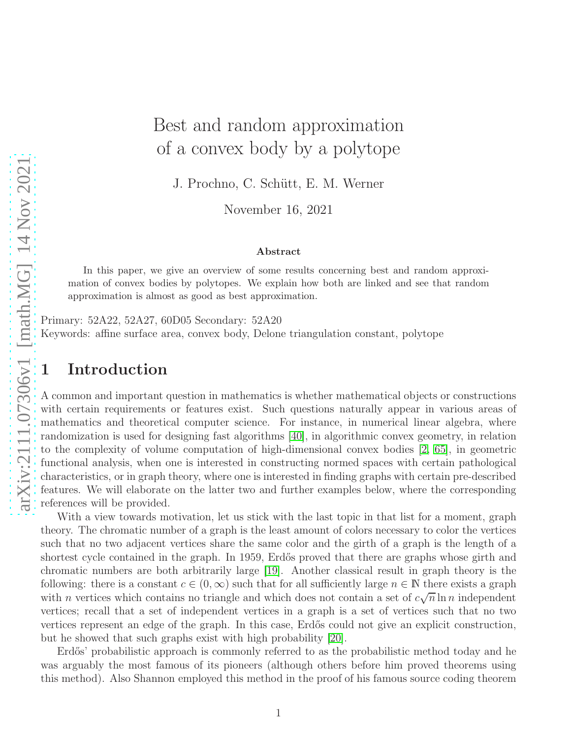# Best and random approximation of a convex body by a polytope

J. Prochno, C. Schütt, E. M. Werner

November 16, 2021

#### Abstract

In this paper, we give an overview of some results concerning best and random approximation of convex bodies by polytopes. We explain how both are linked and see that random approximation is almost as good as best approximation.

Primary: 52A22, 52A27, 60D05 Secondary: 52A20 Keywords: affine surface area, convex body, Delone triangulation constant, polytope

### 1 Introduction

A common and important question in mathematics is whether mathematical objects or constructions with certain requirements or features exist. Such questions naturally appear in various areas of mathematics and theoretical computer science. For instance, in numerical linear algebra, where randomization is used for designing fast algorithms [\[40\]](#page-19-0), in algorithmic convex geometry, in relation to the complexity of volume computation of high-dimensional convex bodies [\[2,](#page-16-0) [65\]](#page-20-0), in geometric functional analysis, when one is interested in constructing normed spaces with certain pathological characteristics, or in graph theory, where one is interested in finding graphs with certain pre-described features. We will elaborate on the latter two and further examples below, where the corresponding references will be provided.

With a view towards motivation, let us stick with the last topic in that list for a moment, graph theory. The chromatic number of a graph is the least amount of colors necessary to color the vertices such that no two adjacent vertices share the same color and the girth of a graph is the length of a shortest cycle contained in the graph. In 1959, Erdős proved that there are graphs whose girth and chromatic numbers are both arbitrarily large [\[19\]](#page-17-0). Another classical result in graph theory is the following: there is a constant  $c \in (0, \infty)$  such that for all sufficiently large  $n \in \mathbb{N}$  there exists a graph with *n* vertices which contains no triangle and which does not contain a set of  $c\sqrt{n}\ln n$  independent vertices; recall that a set of independent vertices in a graph is a set of vertices such that no two vertices represent an edge of the graph. In this case, Erd˝os could not give an explicit construction, but he showed that such graphs exist with high probability [\[20\]](#page-17-1).

Erdős' probabilistic approach is commonly referred to as the probabilistic method today and he was arguably the most famous of its pioneers (although others before him proved theorems using this method). Also Shannon employed this method in the proof of his famous source coding theorem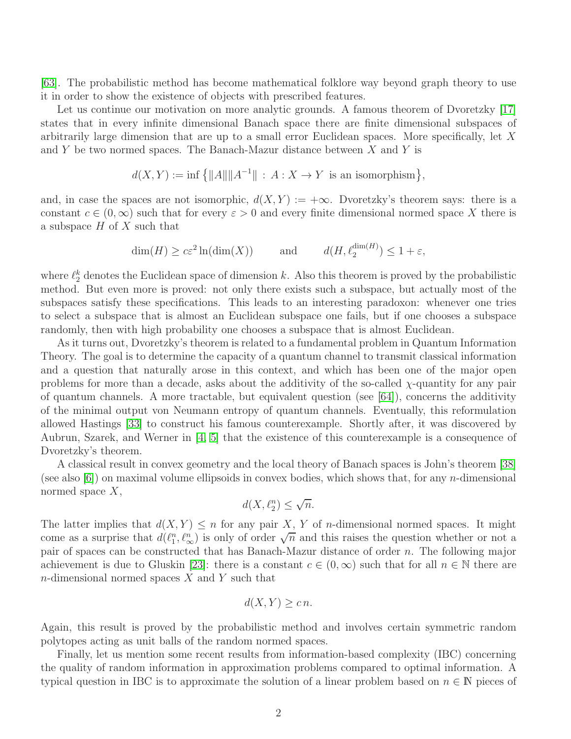[\[63\]](#page-20-1). The probabilistic method has become mathematical folklore way beyond graph theory to use it in order to show the existence of objects with prescribed features.

Let us continue our motivation on more analytic grounds. A famous theorem of Dvoretzky [\[17\]](#page-17-2) states that in every infinite dimensional Banach space there are finite dimensional subspaces of arbitrarily large dimension that are up to a small error Euclidean spaces. More specifically, let X and Y be two normed spaces. The Banach-Mazur distance between  $X$  and Y is

$$
d(X,Y) := \inf \left\{ ||A|| ||A^{-1}|| \, : \, A : X \to Y \text{ is an isomorphism} \right\},\
$$

and, in case the spaces are not isomorphic,  $d(X, Y) := +\infty$ . Dvoretzky's theorem says: there is a constant  $c \in (0,\infty)$  such that for every  $\varepsilon > 0$  and every finite dimensional normed space X there is a subspace  $H$  of  $X$  such that

$$
\dim(H) \ge c\varepsilon^2 \ln(\dim(X)) \qquad \text{and} \qquad d(H, \ell_2^{\dim(H)}) \le 1 + \varepsilon,
$$

where  $\ell_2^k$  denotes the Euclidean space of dimension k. Also this theorem is proved by the probabilistic method. But even more is proved: not only there exists such a subspace, but actually most of the subspaces satisfy these specifications. This leads to an interesting paradoxon: whenever one tries to select a subspace that is almost an Euclidean subspace one fails, but if one chooses a subspace randomly, then with high probability one chooses a subspace that is almost Euclidean.

As it turns out, Dvoretzky's theorem is related to a fundamental problem in Quantum Information Theory. The goal is to determine the capacity of a quantum channel to transmit classical information and a question that naturally arose in this context, and which has been one of the major open problems for more than a decade, asks about the additivity of the so-called  $\chi$ -quantity for any pair of quantum channels. A more tractable, but equivalent question (see [\[64\]](#page-20-2)), concerns the additivity of the minimal output von Neumann entropy of quantum channels. Eventually, this reformulation allowed Hastings [\[33\]](#page-18-0) to construct his famous counterexample. Shortly after, it was discovered by Aubrun, Szarek, and Werner in [\[4,](#page-16-1) [5\]](#page-17-3) that the existence of this counterexample is a consequence of Dvoretzky's theorem.

A classical result in convex geometry and the local theory of Banach spaces is John's theorem [\[38\]](#page-19-1) (see also  $[6]$ ) on maximal volume ellipsoids in convex bodies, which shows that, for any n-dimensional normed space  $X$ ,

$$
d(X, \ell_2^n) \le \sqrt{n}.
$$

The latter implies that  $d(X, Y) \leq n$  for any pair X, Y of *n*-dimensional normed spaces. It might come as a surprise that  $d(\ell_1^n, \ell_\infty^n)$  is only of order  $\sqrt{n}$  and this raises the question whether or not a pair of spaces can be constructed that has Banach-Mazur distance of order n. The following major achievement is due to Gluskin [\[23\]](#page-18-1): there is a constant  $c \in (0,\infty)$  such that for all  $n \in \mathbb{N}$  there are n-dimensional normed spaces  $X$  and  $Y$  such that

$$
d(X,Y) \geq c \, n.
$$

Again, this result is proved by the probabilistic method and involves certain symmetric random polytopes acting as unit balls of the random normed spaces.

Finally, let us mention some recent results from information-based complexity (IBC) concerning the quality of random information in approximation problems compared to optimal information. A typical question in IBC is to approximate the solution of a linear problem based on  $n \in \mathbb{N}$  pieces of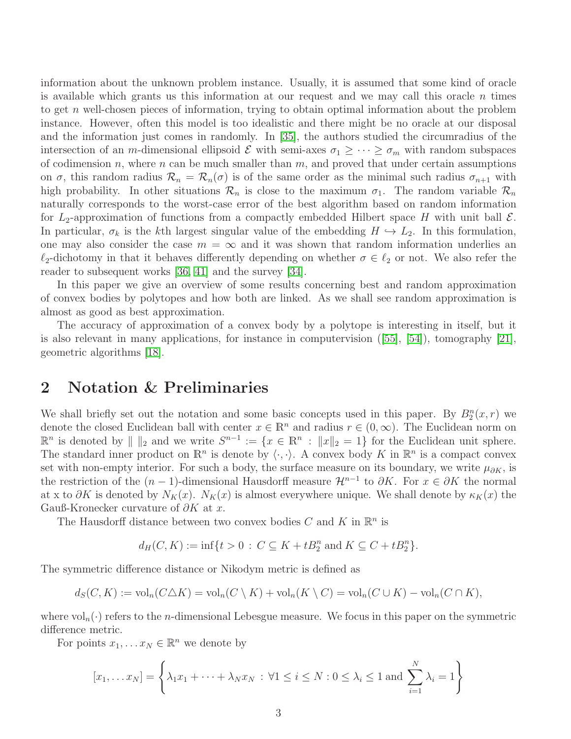information about the unknown problem instance. Usually, it is assumed that some kind of oracle is available which grants us this information at our request and we may call this oracle  $n$  times to get n well-chosen pieces of information, trying to obtain optimal information about the problem instance. However, often this model is too idealistic and there might be no oracle at our disposal and the information just comes in randomly. In [\[35\]](#page-18-2), the authors studied the circumradius of the intersection of an m-dimensional ellipsoid  $\mathcal E$  with semi-axes  $\sigma_1 \geq \cdots \geq \sigma_m$  with random subspaces of codimension n, where n can be much smaller than  $m$ , and proved that under certain assumptions on  $\sigma$ , this random radius  $\mathcal{R}_n = \mathcal{R}_n(\sigma)$  is of the same order as the minimal such radius  $\sigma_{n+1}$  with high probability. In other situations  $\mathcal{R}_n$  is close to the maximum  $\sigma_1$ . The random variable  $\mathcal{R}_n$ naturally corresponds to the worst-case error of the best algorithm based on random information for  $L_2$ -approximation of functions from a compactly embedded Hilbert space H with unit ball  $\mathcal{E}$ . In particular,  $\sigma_k$  is the kth largest singular value of the embedding  $H \hookrightarrow L_2$ . In this formulation, one may also consider the case  $m = \infty$  and it was shown that random information underlies an  $\ell_2$ -dichotomy in that it behaves differently depending on whether  $\sigma \in \ell_2$  or not. We also refer the reader to subsequent works [\[36,](#page-18-3) [41\]](#page-19-2) and the survey [\[34\]](#page-18-4).

In this paper we give an overview of some results concerning best and random approximation of convex bodies by polytopes and how both are linked. As we shall see random approximation is almost as good as best approximation.

The accuracy of approximation of a convex body by a polytope is interesting in itself, but it isalso relevant in many applications, for instance in computervision  $(55, 54)$ , tomography [\[21\]](#page-17-5), geometric algorithms [\[18\]](#page-17-6).

#### 2 Notation & Preliminaries

We shall briefly set out the notation and some basic concepts used in this paper. By  $B_2^n(x,r)$  we denote the closed Euclidean ball with center  $x \in \mathbb{R}^n$  and radius  $r \in (0, \infty)$ . The Euclidean norm on  $\mathbb{R}^n$  is denoted by  $|| \ ||_2$  and we write  $S^{n-1} := \{x \in \mathbb{R}^n : ||x||_2 = 1\}$  for the Euclidean unit sphere. The standard inner product on  $\mathbb{R}^n$  is denote by  $\langle \cdot, \cdot \rangle$ . A convex body K in  $\mathbb{R}^n$  is a compact convex set with non-empty interior. For such a body, the surface measure on its boundary, we write  $\mu_{\partial K}$ , is the restriction of the  $(n-1)$ -dimensional Hausdorff measure  $\mathcal{H}^{n-1}$  to  $\partial K$ . For  $x \in \partial K$  the normal at x to  $\partial K$  is denoted by  $N_K(x)$ .  $N_K(x)$  is almost everywhere unique. We shall denote by  $\kappa_K(x)$  the Gauß-Kronecker curvature of  $\partial K$  at x.

The Hausdorff distance between two convex bodies  $C$  and  $K$  in  $\mathbb{R}^n$  is

$$
d_H(C, K) := \inf\{t > 0 : C \subseteq K + tB_2^n \text{ and } K \subseteq C + tB_2^n\}.
$$

The symmetric difference distance or Nikodym metric is defined as

$$
d_S(C, K) := \text{vol}_n(C \triangle K) = \text{vol}_n(C \setminus K) + \text{vol}_n(K \setminus C) = \text{vol}_n(C \cup K) - \text{vol}_n(C \cap K),
$$

where  $vol_n(\cdot)$  refers to the *n*-dimensional Lebesgue measure. We focus in this paper on the symmetric difference metric.

For points  $x_1, \ldots x_N \in \mathbb{R}^n$  we denote by

$$
[x_1, \dots x_N] = \left\{ \lambda_1 x_1 + \dots + \lambda_N x_N : \forall 1 \le i \le N : 0 \le \lambda_i \le 1 \text{ and } \sum_{i=1}^N \lambda_i = 1 \right\}
$$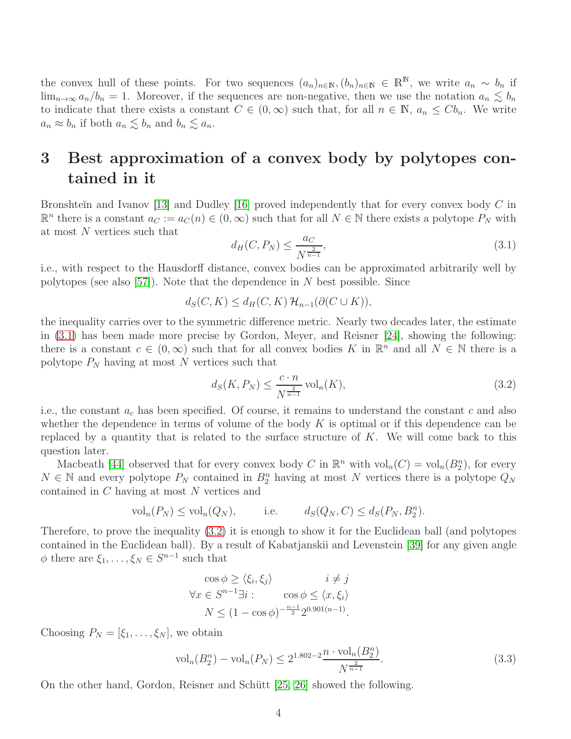the convex hull of these points. For two sequences  $(a_n)_{n\in\mathbb{N}}$ ,  $(b_n)_{n\in\mathbb{N}}\in\mathbb{R}^{\mathbb{N}}$ , we write  $a_n \sim b_n$  if  $\lim_{n\to\infty} a_n/b_n = 1$ . Moreover, if the sequences are non-negative, then we use the notation  $a_n \lesssim b_n$ to indicate that there exists a constant  $C \in (0,\infty)$  such that, for all  $n \in \mathbb{N}$ ,  $a_n \leq Cb_n$ . We write  $a_n \approx b_n$  if both  $a_n \lesssim b_n$  and  $b_n \lesssim a_n$ .

## 3 Best approximation of a convex body by polytopes contained in it

Bronshteĭn and Ivanov [\[13\]](#page-17-7) and Dudley [\[16\]](#page-17-8) proved independently that for every convex body  $C$  in  $\mathbb{R}^n$  there is a constant  $a_C := a_C(n) \in (0,\infty)$  such that for all  $N \in \mathbb{N}$  there exists a polytope  $P_N$  with at most N vertices such that

<span id="page-3-0"></span>
$$
d_H(C, P_N) \le \frac{a_C}{N^{\frac{2}{n-1}}},\tag{3.1}
$$

i.e., with respect to the Hausdorff distance, convex bodies can be approximated arbitrarily well by polytopes (see also [\[57\]](#page-20-4)). Note that the dependence in  $N$  best possible. Since

 $d_S(C, K) \leq d_H(C, K) \mathcal{H}_{n-1}(\partial(C \cup K)).$ 

the inequality carries over to the symmetric difference metric. Nearly two decades later, the estimate in [\(3.1\)](#page-3-0) has been made more precise by Gordon, Meyer, and Reisner [\[24\]](#page-18-5), showing the following: there is a constant  $c \in (0, \infty)$  such that for all convex bodies K in  $\mathbb{R}^n$  and all  $N \in \mathbb{N}$  there is a polytope  $P_N$  having at most N vertices such that

<span id="page-3-1"></span>
$$
d_S(K, P_N) \le \frac{c \cdot n}{N^{\frac{2}{n-1}}} \operatorname{vol}_n(K),\tag{3.2}
$$

i.e., the constant  $a_c$  has been specified. Of course, it remains to understand the constant c and also whether the dependence in terms of volume of the body  $K$  is optimal or if this dependence can be replaced by a quantity that is related to the surface structure of  $K$ . We will come back to this question later.

Macbeath [\[44\]](#page-19-4) observed that for every convex body C in  $\mathbb{R}^n$  with  $\text{vol}_n(C) = \text{vol}_n(B_2^n)$ , for every  $N \in \mathbb{N}$  and every polytope  $P_N$  contained in  $B_2^n$  having at most N vertices there is a polytope  $Q_N$ contained in C having at most N vertices and

$$
\text{vol}_n(P_N) \le \text{vol}_n(Q_N), \qquad \text{i.e.} \qquad d_S(Q_N, C) \le d_S(P_N, B_2^n).
$$

Therefore, to prove the inequality [\(3.2\)](#page-3-1) it is enough to show it for the Euclidean ball (and polytopes contained in the Euclidean ball). By a result of Kabatjanskii and Levenstein [\[39\]](#page-19-5) for any given angle  $\phi$  there are  $\xi_1, \ldots, \xi_N \in S^{n-1}$  such that

$$
\cos \phi \ge \langle \xi_i, \xi_j \rangle \qquad i \ne j
$$
  

$$
\forall x \in S^{n-1} \exists i : \qquad \cos \phi \le \langle x, \xi_i \rangle
$$
  

$$
N \le (1 - \cos \phi)^{-\frac{n-1}{2}} 2^{0.901(n-1)}.
$$

Choosing  $P_N = [\xi_1, \ldots, \xi_N]$ , we obtain

<span id="page-3-2"></span>
$$
\text{vol}_n(B_2^n) - \text{vol}_n(P_N) \le 2^{1.802 - 2} \frac{n \cdot \text{vol}_n(B_2^n)}{N^{\frac{2}{n-1}}}.
$$
\n(3.3)

On the other hand, Gordon, Reisner and Schütt [\[25,](#page-18-6) [26\]](#page-18-7) showed the following.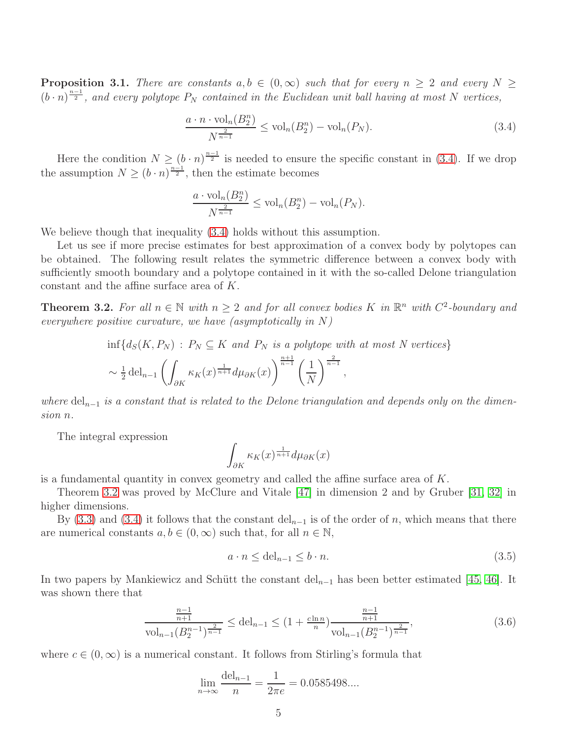**Proposition 3.1.** There are constants  $a, b \in (0, \infty)$  such that for every  $n \geq 2$  and every  $N \geq$  $(h \cdot n)^{\frac{n-1}{2}}$ , and every polytope  $P_N$  contained in the Euclidean unit ball having at most N vertices,

<span id="page-4-0"></span>
$$
\frac{a \cdot n \cdot \text{vol}_n(B_2^n)}{N^{\frac{2}{n-1}}} \le \text{vol}_n(B_2^n) - \text{vol}_n(P_N). \tag{3.4}
$$

Here the condition  $N \geq (b \cdot n)^{\frac{n-1}{2}}$  is needed to ensure the specific constant in [\(3.4\)](#page-4-0). If we drop the assumption  $N \ge (b \cdot n)^{\frac{n-1}{2}}$ , then the estimate becomes

$$
\frac{a \cdot \text{vol}_n(B_2^n)}{N^{\frac{2}{n-1}}} \le \text{vol}_n(B_2^n) - \text{vol}_n(P_N).
$$

We believe though that inequality  $(3.4)$  holds without this assumption.

Let us see if more precise estimates for best approximation of a convex body by polytopes can be obtained. The following result relates the symmetric difference between a convex body with sufficiently smooth boundary and a polytope contained in it with the so-called Delone triangulation constant and the affine surface area of K.

<span id="page-4-1"></span>**Theorem 3.2.** For all  $n \in \mathbb{N}$  with  $n \geq 2$  and for all convex bodies K in  $\mathbb{R}^n$  with  $C^2$ -boundary and everywhere positive curvature, we have (asymptotically in  $N$ )

$$
\inf \{ d_S(K, P_N) : P_N \subseteq K \text{ and } P_N \text{ is a polytope with at most } N \text{ vertices} \}
$$
  

$$
\sim \frac{1}{2} \operatorname{del}_{n-1} \left( \int_{\partial K} \kappa_K(x)^{\frac{1}{n+1}} d\mu_{\partial K}(x) \right)^{\frac{n+1}{n-1}} \left( \frac{1}{N} \right)^{\frac{2}{n-1}},
$$

where  $\text{del}_{n-1}$  is a constant that is related to the Delone triangulation and depends only on the dimension n.

The integral expression

$$
\int_{\partial K} \kappa_K(x)^{\frac{1}{n+1}} d\mu_{\partial K}(x)
$$

is a fundamental quantity in convex geometry and called the affine surface area of  $K$ .

Theorem [3.2](#page-4-1) was proved by McClure and Vitale [\[47\]](#page-19-6) in dimension 2 and by Gruber [\[31,](#page-18-8) [32\]](#page-18-9) in higher dimensions.

By [\(3.3\)](#page-3-2) and [\(3.4\)](#page-4-0) it follows that the constant del<sub>n−1</sub> is of the order of n, which means that there are numerical constants  $a, b \in (0, \infty)$  such that, for all  $n \in \mathbb{N}$ ,

<span id="page-4-3"></span>
$$
a \cdot n \le \text{del}_{n-1} \le b \cdot n. \tag{3.5}
$$

In two papers by Mankiewicz and Schütt the constant del<sub>n−1</sub> has been better estimated [\[45,](#page-19-7) [46\]](#page-19-8). It was shown there that

<span id="page-4-2"></span>
$$
\frac{\frac{n-1}{n+1}}{\text{vol}_{n-1}(B_2^{n-1})^{\frac{2}{n-1}}} \le \text{del}_{n-1} \le \left(1 + \frac{c \ln n}{n}\right) \frac{\frac{n-1}{n+1}}{\text{vol}_{n-1}(B_2^{n-1})^{\frac{2}{n-1}}},\tag{3.6}
$$

where  $c \in (0,\infty)$  is a numerical constant. It follows from Stirling's formula that

$$
\lim_{n \to \infty} \frac{\text{del}_{n-1}}{n} = \frac{1}{2\pi e} = 0.0585498...
$$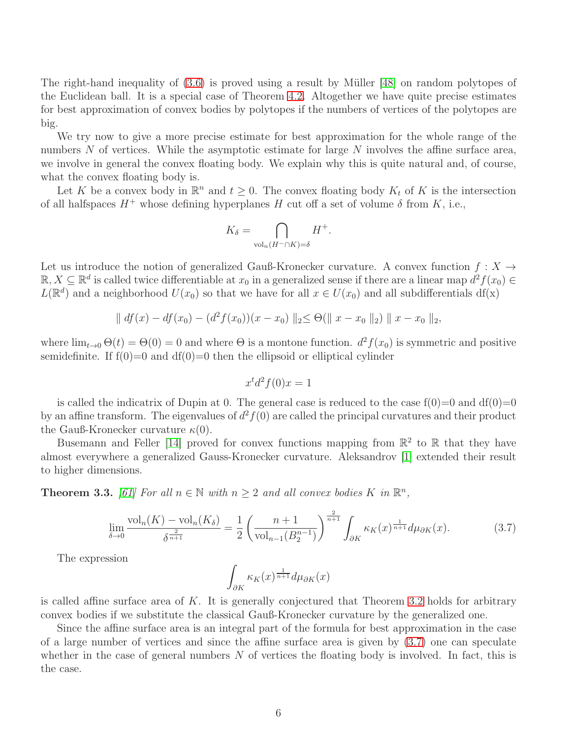The right-hand inequality of  $(3.6)$  is proved using a result by Müller [\[48\]](#page-19-9) on random polytopes of the Euclidean ball. It is a special case of Theorem [4.2.](#page-10-0) Altogether we have quite precise estimates for best approximation of convex bodies by polytopes if the numbers of vertices of the polytopes are big.

We try now to give a more precise estimate for best approximation for the whole range of the numbers  $N$  of vertices. While the asymptotic estimate for large  $N$  involves the affine surface area, we involve in general the convex floating body. We explain why this is quite natural and, of course, what the convex floating body is.

Let K be a convex body in  $\mathbb{R}^n$  and  $t \geq 0$ . The convex floating body  $K_t$  of K is the intersection of all halfspaces  $H^+$  whose defining hyperplanes H cut off a set of volume  $\delta$  from K, i.e.,

$$
K_{\delta} = \bigcap_{\text{vol}_n(H^- \cap K) = \delta} H^+.
$$

Let us introduce the notion of generalized Gauß-Kronecker curvature. A convex function  $f: X \rightarrow$  $\mathbb{R}, X \subseteq \mathbb{R}^d$  is called twice differentiable at  $x_0$  in a generalized sense if there are a linear map  $d^2 f(x_0) \in$  $L(\mathbb{R}^d)$  and a neighborhood  $U(x_0)$  so that we have for all  $x \in U(x_0)$  and all subdifferentials df(x)

$$
\| df(x) - df(x_0) - (d^2 f(x_0))(x - x_0) \|_2 \leq \Theta(\| x - x_0 \|_2) \| x - x_0 \|_2,
$$

where  $\lim_{t\to 0} \Theta(t) = \Theta(0) = 0$  and where  $\Theta$  is a montone function.  $d^2 f(x_0)$  is symmetric and positive semidefinite. If  $f(0)=0$  and  $df(0)=0$  then the ellipsoid or elliptical cylinder

$$
x^t d^2 f(0)x = 1
$$

is called the indicatrix of Dupin at 0. The general case is reduced to the case  $f(0)=0$  and  $df(0)=0$ by an affine transform. The eigenvalues of  $d^2 f(0)$  are called the principal curvatures and their product the Gauß-Kronecker curvature  $\kappa(0)$ .

Busemann and Feller [\[14\]](#page-17-9) proved for convex functions mapping from  $\mathbb{R}^2$  to  $\mathbb R$  that they have almost everywhere a generalized Gauss-Kronecker curvature. Aleksandrov [\[1\]](#page-16-2) extended their result to higher dimensions.

**Theorem 3.3.** [\[61\]](#page-20-5) For all  $n \in \mathbb{N}$  with  $n \geq 2$  and all convex bodies K in  $\mathbb{R}^n$ ,

<span id="page-5-0"></span>
$$
\lim_{\delta \to 0} \frac{\text{vol}_n(K) - \text{vol}_n(K_\delta)}{\delta^{\frac{2}{n+1}}} = \frac{1}{2} \left( \frac{n+1}{\text{vol}_{n-1}(B_2^{n-1})} \right)^{\frac{2}{n+1}} \int_{\partial K} \kappa_K(x)^{\frac{1}{n+1}} d\mu_{\partial K}(x). \tag{3.7}
$$

The expression

$$
\int_{\partial K} \kappa_K(x)^{\frac{1}{n+1}} d\mu_{\partial K}(x)
$$

is called affine surface area of  $K$ . It is generally conjectured that Theorem [3.2](#page-4-1) holds for arbitrary convex bodies if we substitute the classical Gauß-Kronecker curvature by the generalized one.

Since the affine surface area is an integral part of the formula for best approximation in the case of a large number of vertices and since the affine surface area is given by [\(3.7\)](#page-5-0) one can speculate whether in the case of general numbers  $N$  of vertices the floating body is involved. In fact, this is the case.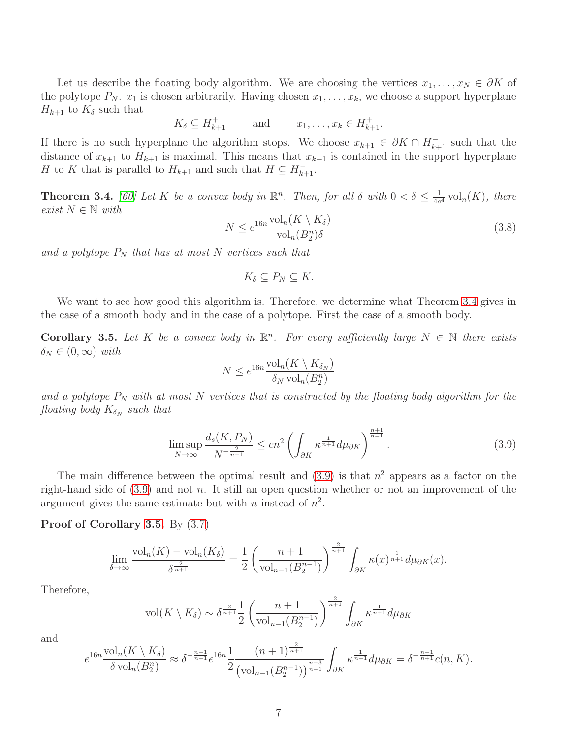Let us describe the floating body algorithm. We are choosing the vertices  $x_1, \ldots, x_N \in \partial K$  of the polytope  $P_N$ .  $x_1$  is chosen arbitrarily. Having chosen  $x_1, \ldots, x_k$ , we choose a support hyperplane  $H_{k+1}$  to  $K_{\delta}$  such that

$$
K_{\delta} \subseteq H_{k+1}^+ \qquad \text{and} \qquad x_1, \dots, x_k \in H_{k+1}^+.
$$

If there is no such hyperplane the algorithm stops. We choose  $x_{k+1} \in \partial K \cap H_{k+1}^-$  such that the distance of  $x_{k+1}$  to  $H_{k+1}$  is maximal. This means that  $x_{k+1}$  is contained in the support hyperplane H to K that is parallel to  $H_{k+1}$  and such that  $H \subseteq H_{k+1}^-$ .

<span id="page-6-0"></span>**Theorem 3.4.** [\[60\]](#page-20-6) Let K be a convex body in  $\mathbb{R}^n$ . Then, for all  $\delta$  with  $0 < \delta \leq \frac{1}{4e}$  $\frac{1}{4e^4} \text{vol}_n(K)$ , there exist  $N \in \mathbb{N}$  with

<span id="page-6-3"></span>
$$
N \le e^{16n} \frac{\text{vol}_n(K \setminus K_\delta)}{\text{vol}_n(B_2^n)\delta} \tag{3.8}
$$

and a polytope  $P_N$  that has at most N vertices such that

$$
K_{\delta}\subseteq P_N\subseteq K.
$$

We want to see how good this algorithm is. Therefore, we determine what Theorem [3.4](#page-6-0) gives in the case of a smooth body and in the case of a polytope. First the case of a smooth body.

<span id="page-6-2"></span>**Corollary 3.5.** Let K be a convex body in  $\mathbb{R}^n$ . For every sufficiently large  $N \in \mathbb{N}$  there exists  $\delta_N \in (0,\infty)$  with

$$
N \le e^{16n} \frac{\text{vol}_n(K \setminus K_{\delta_N})}{\delta_N \text{ vol}_n(B_2^n)}
$$

and a polytope  $P_N$  with at most N vertices that is constructed by the floating body algorithm for the floating body  $K_{\delta_N}$  such that

<span id="page-6-1"></span>
$$
\limsup_{N \to \infty} \frac{d_s(K, P_N)}{N^{-\frac{2}{n-1}}} \le cn^2 \left( \int_{\partial K} \kappa^{\frac{1}{n+1}} d\mu_{\partial K} \right)^{\frac{n+1}{n-1}}.
$$
\n(3.9)

The main difference between the optimal result and  $(3.9)$  is that  $n<sup>2</sup>$  appears as a factor on the right-hand side of  $(3.9)$  and not n. It still an open question whether or not an improvement of the argument gives the same estimate but with *n* instead of  $n^2$ .

#### Proof of Corollary [3.5.](#page-6-2) By [\(3.7\)](#page-5-0)

$$
\lim_{\delta \to \infty} \frac{\text{vol}_n(K) - \text{vol}_n(K_\delta)}{\delta^{\frac{2}{n+1}}} = \frac{1}{2} \left( \frac{n+1}{\text{vol}_{n-1}(B_2^{n-1})} \right)^{\frac{2}{n+1}} \int_{\partial K} \kappa(x)^{\frac{1}{n+1}} d\mu_{\partial K}(x).
$$

Therefore,

$$
\text{vol}(K \setminus K_{\delta}) \sim \delta^{\frac{2}{n+1}} \frac{1}{2} \left( \frac{n+1}{\text{vol}_{n-1}(B_2^{n-1})} \right)^{\frac{2}{n+1}} \int_{\partial K} \kappa^{\frac{1}{n+1}} d\mu_{\partial K}
$$

and

$$
e^{16n} \frac{\text{vol}_n(K \setminus K_\delta)}{\delta \text{vol}_n(B_2^n)} \approx \delta^{-\frac{n-1}{n+1}} e^{16n} \frac{1}{2} \frac{(n+1)^{\frac{2}{n+1}}}{(\text{vol}_{n-1}(B_2^{n-1}))^{\frac{n+3}{n+1}}} \int_{\partial K} \kappa^{\frac{1}{n+1}} d\mu_{\partial K} = \delta^{-\frac{n-1}{n+1}} c(n, K).
$$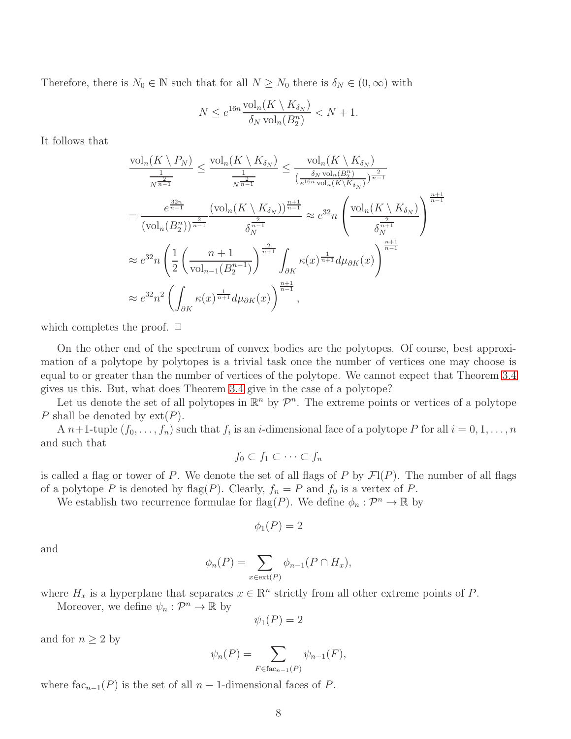Therefore, there is  $N_0 \in \mathbb{N}$  such that for all  $N \ge N_0$  there is  $\delta_N \in (0, \infty)$  with

$$
N \le e^{16n} \frac{\text{vol}_n(K \setminus K_{\delta_N})}{\delta_N \text{ vol}_n(B_2^n)} < N+1.
$$

It follows that

$$
\frac{\text{vol}_{n}(K \setminus P_{N})}{\frac{1}{N^{\frac{2}{n-1}}}} \leq \frac{\text{vol}_{n}(K \setminus K_{\delta_{N}})}{\frac{1}{N^{\frac{2}{n-1}}}} \leq \frac{\text{vol}_{n}(K \setminus K_{\delta_{N}})}{(\frac{\delta_{N} \text{ vol}_{n}(B_{2}^{n})}{e^{16n \text{ vol}_{n}(K \setminus K_{\delta_{N}})})^{\frac{2}{n-1}}}
$$
\n
$$
= \frac{e^{\frac{32n}{n-1}}}{(\text{vol}_{n}(B_{2}^{n}))^{\frac{2}{n-1}}} \frac{(\text{vol}_{n}(K \setminus K_{\delta_{N}}))^{\frac{n+1}{n-1}}}{\delta_{N}^{\frac{2}{n-1}}} \approx e^{32} n \left( \frac{\text{vol}_{n}(K \setminus K_{\delta_{N}})}{\delta_{N}^{\frac{2}{n+1}}} \right)^{\frac{n+1}{n-1}}
$$
\n
$$
\approx e^{32} n \left( \frac{1}{2} \left( \frac{n+1}{\text{vol}_{n-1}(B_{2}^{n-1})} \right)^{\frac{2}{n+1}} \int_{\partial K} \kappa(x)^{\frac{1}{n+1}} d\mu_{\partial K}(x) \right)^{\frac{n+1}{n-1}}
$$
\n
$$
\approx e^{32} n^{2} \left( \int_{\partial K} \kappa(x)^{\frac{1}{n+1}} d\mu_{\partial K}(x) \right)^{\frac{n+1}{n-1}},
$$

which completes the proof.  $\Box$ 

On the other end of the spectrum of convex bodies are the polytopes. Of course, best approximation of a polytope by polytopes is a trivial task once the number of vertices one may choose is equal to or greater than the number of vertices of the polytope. We cannot expect that Theorem [3.4](#page-6-0) gives us this. But, what does Theorem [3.4](#page-6-0) give in the case of a polytope?

Let us denote the set of all polytopes in  $\mathbb{R}^n$  by  $\mathcal{P}^n$ . The extreme points or vertices of a polytope P shall be denoted by  $ext(P)$ .

A  $n+1$ -tuple  $(f_0, \ldots, f_n)$  such that  $f_i$  is an *i*-dimensional face of a polytope P for all  $i = 0, 1, \ldots, n$ and such that

$$
f_0 \subset f_1 \subset \cdots \subset f_n
$$

is called a flag or tower of P. We denote the set of all flags of P by  $\mathcal{F}1(P)$ . The number of all flags of a polytope P is denoted by flag(P). Clearly,  $f_n = P$  and  $f_0$  is a vertex of P.

We establish two recurrence formulae for  $\text{flag}(P)$ . We define  $\phi_n : \mathcal{P}^n \to \mathbb{R}$  by

$$
\phi_1(P) = 2
$$

and

$$
\phi_n(P) = \sum_{x \in \text{ext}(P)} \phi_{n-1}(P \cap H_x),
$$

where  $H_x$  is a hyperplane that separates  $x \in \mathbb{R}^n$  strictly from all other extreme points of P.

Moreover, we define  $\psi_n : \mathcal{P}^n \to \mathbb{R}$  by

$$
\psi_1(P)=2
$$

and for  $n \geq 2$  by

$$
\psi_n(P) = \sum_{F \in \text{fac}_{n-1}(P)} \psi_{n-1}(F),
$$

where  $fac_{n-1}(P)$  is the set of all  $n-1$ -dimensional faces of P.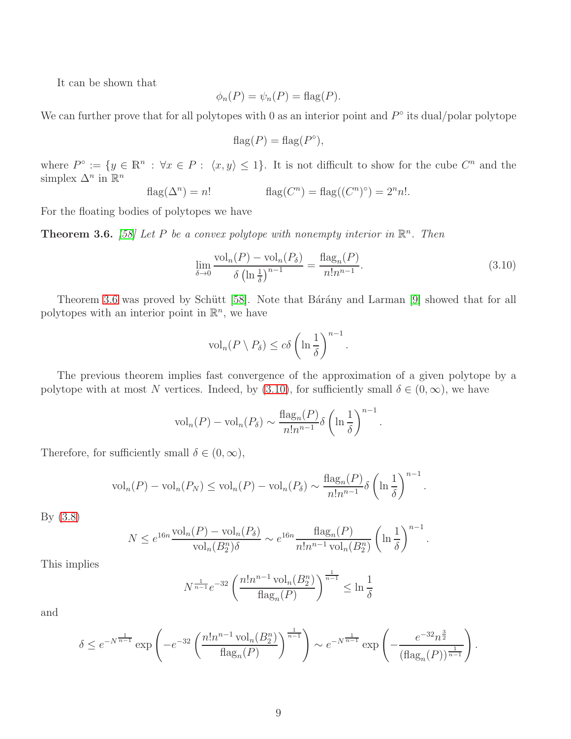It can be shown that

$$
\phi_n(P) = \psi_n(P) = \text{flag}(P).
$$

We can further prove that for all polytopes with 0 as an interior point and  $P^{\circ}$  its dual/polar polytope

$$
flag(P) = flag(P^{\circ}),
$$

where  $P^{\circ} := \{ y \in \mathbb{R}^n : \forall x \in P : \langle x, y \rangle \leq 1 \}.$  It is not difficult to show for the cube  $C^n$  and the simplex  $\Delta^n$  in  $\mathbb{R}^n$ 

$$
flag(\Delta^n) = n! \qquad flag(C^n) = flag((C^n)^{\circ}) = 2^n n!.
$$

For the floating bodies of polytopes we have

<span id="page-8-0"></span>**Theorem 3.6.** [\[58\]](#page-20-7) Let P be a convex polytope with nonempty interior in  $\mathbb{R}^n$ . Then

<span id="page-8-1"></span>
$$
\lim_{\delta \to 0} \frac{\text{vol}_n(P) - \text{vol}_n(P_\delta)}{\delta \left(\ln \frac{1}{\delta}\right)^{n-1}} = \frac{\text{flag}_n(P)}{n! n^{n-1}}.
$$
\n(3.10)

.

.

Theorem [3.6](#page-8-0) was proved by Schütt [\[58\]](#page-20-7). Note that Bárány and Larman [\[9\]](#page-17-10) showed that for all polytopes with an interior point in  $\mathbb{R}^n$ , we have

$$
\mathrm{vol}_n(P \setminus P_\delta) \le c\delta \left(\ln \frac{1}{\delta}\right)^{n-1}
$$

The previous theorem implies fast convergence of the approximation of a given polytope by a polytope with at most N vertices. Indeed, by [\(3.10\)](#page-8-1), for sufficiently small  $\delta \in (0,\infty)$ , we have

$$
\mathrm{vol}_n(P) - \mathrm{vol}_n(P_\delta) \sim \frac{\mathrm{flag}_n(P)}{n!n^{n-1}} \delta \left( \ln \frac{1}{\delta} \right)^{n-1}.
$$

Therefore, for sufficiently small  $\delta \in (0, \infty)$ ,

$$
\mathrm{vol}_n(P) - \mathrm{vol}_n(P_N) \le \mathrm{vol}_n(P) - \mathrm{vol}_n(P_\delta) \sim \frac{\mathrm{flag}_n(P)}{n!n^{n-1}} \delta \left( \ln \frac{1}{\delta} \right)^{n-1}.
$$

By [\(3.8\)](#page-6-3)

$$
N \le e^{16n} \frac{\text{vol}_n(P) - \text{vol}_n(P_\delta)}{\text{vol}_n(B_2^n)\delta} \sim e^{16n} \frac{\text{flag}_n(P)}{n!n^{n-1}\text{vol}_n(B_2^n)} \left(\ln \frac{1}{\delta}\right)^{n-1}.
$$

This implies

$$
N^{\frac{1}{n-1}}e^{-32}\left(\frac{n!n^{n-1}\operatorname{vol}_n(B_2^n)}{\operatorname{flag}_n(P)}\right)^{\frac{1}{n-1}} \le \ln\frac{1}{\delta}
$$

and

$$
\delta \le e^{-N^{\frac{1}{n-1}}} \exp\left(-e^{-32} \left(\frac{n!n^{n-1} \operatorname{vol}_n(B_2^n)}{\operatorname{flag}_n(P)}\right)^{\frac{1}{n-1}}\right) \sim e^{-N^{\frac{1}{n-1}}} \exp\left(-\frac{e^{-32}n^{\frac{3}{2}}}{(\operatorname{flag}_n(P))^{\frac{1}{n-1}}}\right)
$$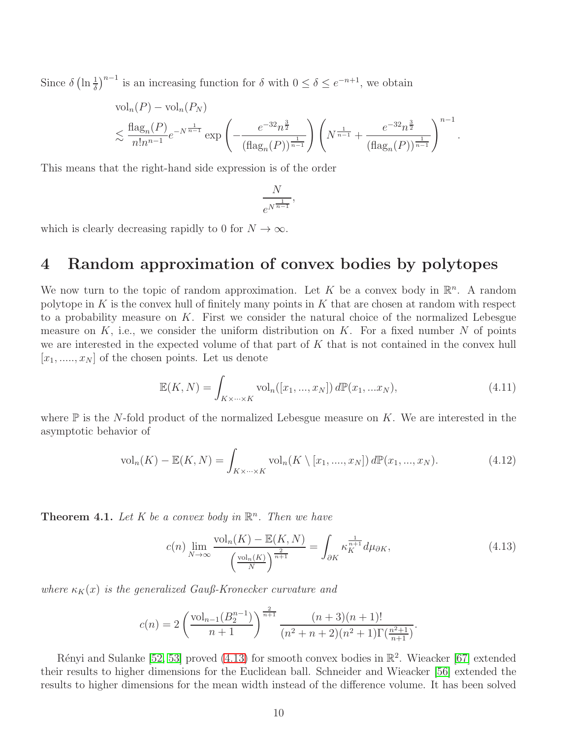Since  $\delta \left(\ln \frac{1}{\delta}\right)^{n-1}$  is an increasing function for  $\delta$  with  $0 \le \delta \le e^{-n+1}$ , we obtain

$$
\mathrm{vol}_n(P) - \mathrm{vol}_n(P_N) \n\lesssim \frac{\mathrm{flag}_n(P)}{n! n^{n-1}} e^{-N^{\frac{1}{n-1}}} \exp\left(-\frac{e^{-32} n^{\frac{3}{2}}}{(\mathrm{flag}_n(P))^{\frac{1}{n-1}}}\right) \left(N^{\frac{1}{n-1}} + \frac{e^{-32} n^{\frac{3}{2}}}{(\mathrm{flag}_n(P))^{\frac{1}{n-1}}}\right)^{n-1}.
$$

This means that the right-hand side expression is of the order

$$
\frac{N}{e^{N^{\frac{1}{n-1}}}},
$$

which is clearly decreasing rapidly to 0 for  $N \to \infty$ .

### 4 Random approximation of convex bodies by polytopes

We now turn to the topic of random approximation. Let K be a convex body in  $\mathbb{R}^n$ . A random polytope in K is the convex hull of finitely many points in K that are chosen at random with respect to a probability measure on  $K$ . First we consider the natural choice of the normalized Lebesgue measure on K, i.e., we consider the uniform distribution on K. For a fixed number N of points we are interested in the expected volume of that part of K that is not contained in the convex hull  $[x_1, \ldots, x_N]$  of the chosen points. Let us denote

$$
\mathbb{E}(K,N) = \int_{K \times \dots \times K} \text{vol}_n([x_1, ..., x_N]) d\mathbb{P}(x_1, ... x_N),
$$
\n(4.11)

where  $\mathbb P$  is the N-fold product of the normalized Lebesgue measure on  $K$ . We are interested in the asymptotic behavior of

$$
\text{vol}_n(K) - \mathbb{E}(K, N) = \int_{K \times \dots \times K} \text{vol}_n(K \setminus [x_1, \dots, x_N]) d\mathbb{P}(x_1, \dots, x_N). \tag{4.12}
$$

**Theorem 4.1.** Let K be a convex body in  $\mathbb{R}^n$ . Then we have

<span id="page-9-0"></span>
$$
c(n)\lim_{N\to\infty}\frac{\text{vol}_n(K)-\mathbb{E}(K,N)}{\left(\frac{\text{vol}_n(K)}{N}\right)^{\frac{2}{n+1}}}=\int_{\partial K}\kappa_K^{\frac{1}{n+1}}d\mu_{\partial K},\tag{4.13}
$$

where  $\kappa_K(x)$  is the generalized Gauß-Kronecker curvature and

$$
c(n) = 2\left(\frac{\text{vol}_{n-1}(B_2^{n-1})}{n+1}\right)^{\frac{2}{n+1}} \frac{(n+3)(n+1)!}{(n^2+n+2)(n^2+1)\Gamma(\frac{n^2+1}{n+1})}.
$$

Rényi and Sulanke [\[52,](#page-19-10) [53\]](#page-19-11) proved  $(4.13)$  for smooth convex bodies in  $\mathbb{R}^2$ . Wieacker [\[67\]](#page-20-8) extended their results to higher dimensions for the Euclidean ball. Schneider and Wieacker [\[56\]](#page-20-9) extended the results to higher dimensions for the mean width instead of the difference volume. It has been solved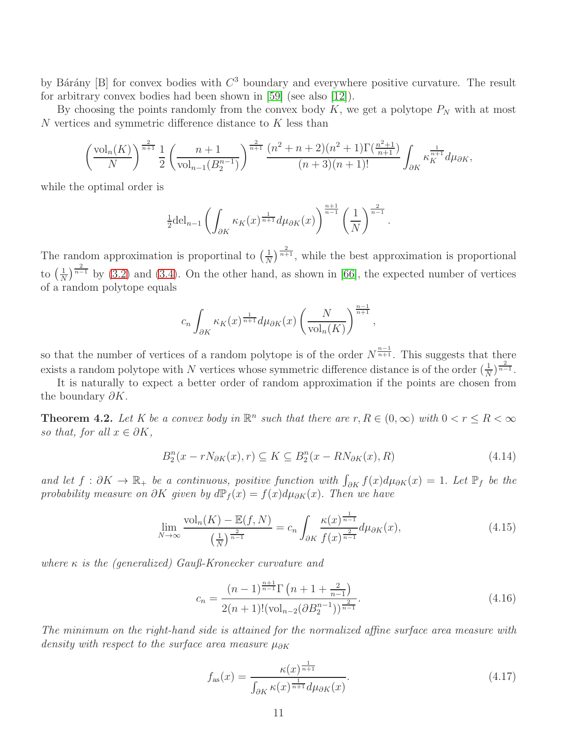by Bárány [B] for convex bodies with  $C^3$  boundary and everywhere positive curvature. The result for arbitrary convex bodies had been shown in [\[59\]](#page-20-10) (see also [\[12\]](#page-17-11)).

By choosing the points randomly from the convex body  $K$ , we get a polytope  $P_N$  with at most N vertices and symmetric difference distance to K less than

$$
\left(\frac{\text{vol}_n(K)}{N}\right)^{\frac{2}{n+1}} \frac{1}{2} \left(\frac{n+1}{\text{vol}_{n-1}(B_2^{n-1})}\right)^{\frac{2}{n+1}} \frac{(n^2+n+2)(n^2+1)\Gamma(\frac{n^2+1}{n+1})}{(n+3)(n+1)!} \int_{\partial K} \kappa_K^{\frac{1}{n+1}} d\mu_{\partial K},
$$

while the optimal order is

$$
\frac{1}{2} \mathrm{del}_{n-1} \left( \int_{\partial K} \kappa_K(x)^{\frac{1}{n+1}} d\mu_{\partial K}(x) \right)^{\frac{n+1}{n-1}} \left( \frac{1}{N} \right)^{\frac{2}{n-1}}.
$$

The random approximation is proportinal to  $\left(\frac{1}{N}\right)$  $\frac{1}{N}$ ) $\frac{2}{n+1}$ , while the best approximation is proportional to  $\left(\frac{1}{\lambda}\right)$  $\frac{1}{N}$ )<sup>2</sup><sup>2</sup> by [\(3.2\)](#page-3-1) and [\(3.4\)](#page-4-0). On the other hand, as shown in [\[66\]](#page-20-11), the expected number of vertices of a random polytope equals

$$
c_n \int_{\partial K} \kappa_K(x)^{\frac{1}{n+1}} d\mu_{\partial K}(x) \left(\frac{N}{\text{vol}_n(K)}\right)^{\frac{n-1}{n+1}},
$$

so that the number of vertices of a random polytope is of the order  $N^{\frac{n-1}{n+1}}$ . This suggests that there exists a random polytope with N vertices whose symmetric difference distance is of the order  $(\frac{1}{N})^{\frac{2}{n-1}}$ .

It is naturally to expect a better order of random approximation if the points are chosen from the boundary  $\partial K$ .

<span id="page-10-0"></span>**Theorem 4.2.** Let K be a convex body in  $\mathbb{R}^n$  such that there are  $r, R \in (0, \infty)$  with  $0 < r \leq R < \infty$ so that, for all  $x \in \partial K$ ,

<span id="page-10-1"></span>
$$
B_2^n(x - rN_{\partial K}(x), r) \subseteq K \subseteq B_2^n(x - RN_{\partial K}(x), R)
$$
\n(4.14)

and let  $f: \partial K \to \mathbb{R}_+$  be a continuous, positive function with  $\int_{\partial K} f(x) d\mu_{\partial K}(x) = 1$ . Let  $\mathbb{P}_f$  be the probability measure on  $\partial K$  given by  $d\mathbb{P}_f(x) = f(x)d\mu_{\partial K}(x)$ . Then we have

<span id="page-10-2"></span>
$$
\lim_{N \to \infty} \frac{\text{vol}_n(K) - \mathbb{E}(f, N)}{\left(\frac{1}{N}\right)^{\frac{2}{n-1}}} = c_n \int_{\partial K} \frac{\kappa(x)^{\frac{1}{n-1}}}{f(x)^{\frac{2}{n-1}}} d\mu_{\partial K}(x),\tag{4.15}
$$

where  $\kappa$  is the (generalized) Gauß-Kronecker curvature and

$$
c_n = \frac{(n-1)^{\frac{n+1}{n-1}} \Gamma\left(n+1+\frac{2}{n-1}\right)}{2(n+1)!(\text{vol}_{n-2}(\partial B_2^{n-1}))^{\frac{2}{n-1}}}.
$$
\n(4.16)

The minimum on the right-hand side is attained for the normalized affine surface area measure with density with respect to the surface area measure  $\mu_{\partial K}$ 

<span id="page-10-3"></span>
$$
f_{\rm as}(x) = \frac{\kappa(x)^{\frac{1}{n+1}}}{\int_{\partial K} \kappa(x)^{\frac{1}{n+1}} d\mu_{\partial K}(x)}.
$$
\n(4.17)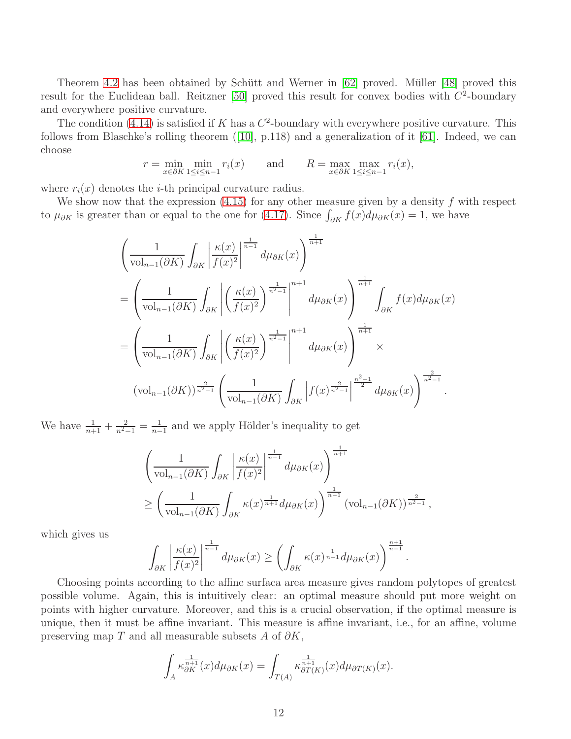Theorem [4.2](#page-10-0) has been obtained by Schütt and Werner in [\[62\]](#page-20-12) proved. Müller [\[48\]](#page-19-9) proved this result for the Euclidean ball. Reitzner  $[50]$  proved this result for convex bodies with  $C^2$ -boundary and everywhere positive curvature.

The condition [\(4.14\)](#page-10-1) is satisfied if K has a  $C^2$ -boundary with everywhere positive curvature. This follows from Blaschke's rolling theorem([\[10\]](#page-17-12), p.118) and a generalization of it [\[61\]](#page-20-5). Indeed, we can choose

$$
r = \min_{x \in \partial K} \min_{1 \le i \le n-1} r_i(x) \quad \text{and} \quad R = \max_{x \in \partial K} \max_{1 \le i \le n-1} r_i(x),
$$

where  $r_i(x)$  denotes the *i*-th principal curvature radius.

We show now that the expression  $(4.15)$  for any other measure given by a density f with respect to  $\mu_{\partial K}$  is greater than or equal to the one for [\(4.17\)](#page-10-3). Since  $\int_{\partial K} f(x) d\mu_{\partial K}(x) = 1$ , we have

$$
\left(\frac{1}{\text{vol}_{n-1}(\partial K)}\int_{\partial K}\left|\frac{\kappa(x)}{f(x)^{2}}\right|^{\frac{1}{n-1}}d\mu_{\partial K}(x)\right)^{\frac{1}{n+1}}
$$
\n
$$
=\left(\frac{1}{\text{vol}_{n-1}(\partial K)}\int_{\partial K}\left|\left(\frac{\kappa(x)}{f(x)^{2}}\right)^{\frac{1}{n^{2}-1}}\right|^{n+1}d\mu_{\partial K}(x)\right)^{\frac{1}{n+1}}\int_{\partial K}f(x)d\mu_{\partial K}(x)
$$
\n
$$
=\left(\frac{1}{\text{vol}_{n-1}(\partial K)}\int_{\partial K}\left|\left(\frac{\kappa(x)}{f(x)^{2}}\right)^{\frac{1}{n^{2}-1}}\right|^{n+1}d\mu_{\partial K}(x)\right)^{\frac{1}{n+1}}\times
$$
\n
$$
(\text{vol}_{n-1}(\partial K))^{\frac{2}{n^{2}-1}}\left(\frac{1}{\text{vol}_{n-1}(\partial K)}\int_{\partial K}\left|f(x)^{\frac{2}{n^{2}-1}}\right|^{\frac{n^{2}-1}{2}}d\mu_{\partial K}(x)\right)^{\frac{2}{n^{2}-1}}.
$$

We have  $\frac{1}{n+1} + \frac{2}{n^2-1} = \frac{1}{n-1}$  $\frac{1}{n-1}$  and we apply Hölder's inequality to get

$$
\left(\frac{1}{\text{vol}_{n-1}(\partial K)} \int_{\partial K} \left| \frac{\kappa(x)}{f(x)^2} \right|^{\frac{1}{n-1}} d\mu_{\partial K}(x) \right)^{\frac{1}{n+1}} \n\ge \left(\frac{1}{\text{vol}_{n-1}(\partial K)} \int_{\partial K} \kappa(x)^{\frac{1}{n+1}} d\mu_{\partial K}(x) \right)^{\frac{1}{n-1}} (\text{vol}_{n-1}(\partial K))^{\frac{2}{n^2-1}},
$$

which gives us

$$
\int_{\partial K} \left| \frac{\kappa(x)}{f(x)^2} \right|^{\frac{1}{n-1}} d\mu_{\partial K}(x) \ge \left( \int_{\partial K} \kappa(x)^{\frac{1}{n+1}} d\mu_{\partial K}(x) \right)^{\frac{n+1}{n-1}}.
$$

Choosing points according to the affine surfaca area measure gives random polytopes of greatest possible volume. Again, this is intuitively clear: an optimal measure should put more weight on points with higher curvature. Moreover, and this is a crucial observation, if the optimal measure is unique, then it must be affine invariant. This measure is affine invariant, i.e., for an affine, volume preserving map T and all measurable subsets A of  $\partial K$ ,

$$
\int_{A} \kappa_{\partial K}^{\frac{1}{n+1}}(x) d\mu_{\partial K}(x) = \int_{T(A)} \kappa_{\partial T(K)}^{\frac{1}{n+1}}(x) d\mu_{\partial T(K)}(x).
$$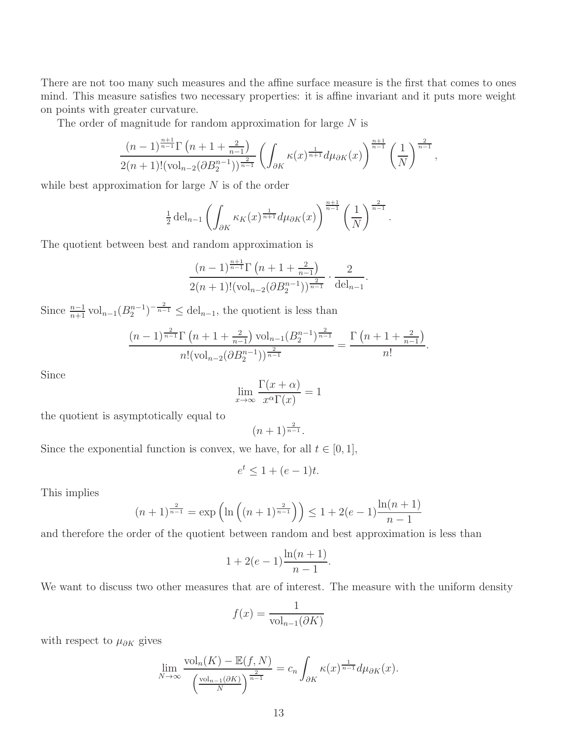There are not too many such measures and the affine surface measure is the first that comes to ones mind. This measure satisfies two necessary properties: it is affine invariant and it puts more weight on points with greater curvature.

The order of magnitude for random approximation for large  $N$  is

$$
\frac{(n-1)^{\frac{n+1}{n-1}}\Gamma\left(n+1+\frac{2}{n-1}\right)}{2(n+1)!(\text{vol}_{n-2}(\partial B_2^{n-1}))^{\frac{2}{n-1}}}\left(\int_{\partial K}\kappa(x)^{\frac{1}{n+1}}d\mu_{\partial K}(x)\right)^{\frac{n+1}{n-1}}\left(\frac{1}{N}\right)^{\frac{2}{n-1}},
$$

while best approximation for large  $N$  is of the order

$$
\frac{1}{2}\operatorname{del}_{n-1}\left(\int_{\partial K} \kappa_K(x)^{\frac{1}{n+1}} d\mu_{\partial K}(x)\right)^{\frac{n+1}{n-1}} \left(\frac{1}{N}\right)^{\frac{2}{n-1}}.
$$

The quotient between best and random approximation is

$$
\frac{(n-1)^{\frac{n+1}{n-1}}\Gamma\left(n+1+\frac{2}{n-1}\right)}{2(n+1)!(\text{vol}_{n-2}(\partial B_2^{n-1}))^{\frac{2}{n-1}}} \cdot \frac{2}{\text{del}_{n-1}}.
$$

Since  $\frac{n-1}{n+1}$  vol<sub>n−1</sub> $(B_2^{n-1})^{-\frac{2}{n-1}} \leq$  del<sub>n−1</sub>, the quotient is less than

$$
\frac{(n-1)^{\frac{2}{n-1}}\Gamma\left(n+1+\frac{2}{n-1}\right)\mathrm{vol}_{n-1}(B_2^{n-1})^{\frac{2}{n-1}}}{n!(\mathrm{vol}_{n-2}(\partial B_2^{n-1}))^{\frac{2}{n-1}}}=\frac{\Gamma\left(n+1+\frac{2}{n-1}\right)}{n!}.
$$

Since

$$
\lim_{x \to \infty} \frac{\Gamma(x + \alpha)}{x^{\alpha} \Gamma(x)} = 1
$$

the quotient is asymptotically equal to

$$
(n+1)^{\frac{2}{n-1}}.
$$

Since the exponential function is convex, we have, for all  $t \in [0, 1]$ ,

$$
e^t \le 1 + (e - 1)t.
$$

This implies

$$
(n+1)^{\frac{2}{n-1}} = \exp\left(\ln\left((n+1)^{\frac{2}{n-1}}\right)\right) \le 1 + 2(e-1)\frac{\ln(n+1)}{n-1}
$$

and therefore the order of the quotient between random and best approximation is less than

$$
1 + 2(e - 1)\frac{\ln(n + 1)}{n - 1}.
$$

We want to discuss two other measures that are of interest. The measure with the uniform density

$$
f(x) = \frac{1}{\text{vol}_{n-1}(\partial K)}
$$

with respect to  $\mu_{\partial K}$  gives

$$
\lim_{N \to \infty} \frac{\text{vol}_n(K) - \mathbb{E}(f, N)}{\left(\frac{\text{vol}_{n-1}(\partial K)}{N}\right)^{\frac{2}{n-1}}} = c_n \int_{\partial K} \kappa(x)^{\frac{1}{n-1}} d\mu_{\partial K}(x).
$$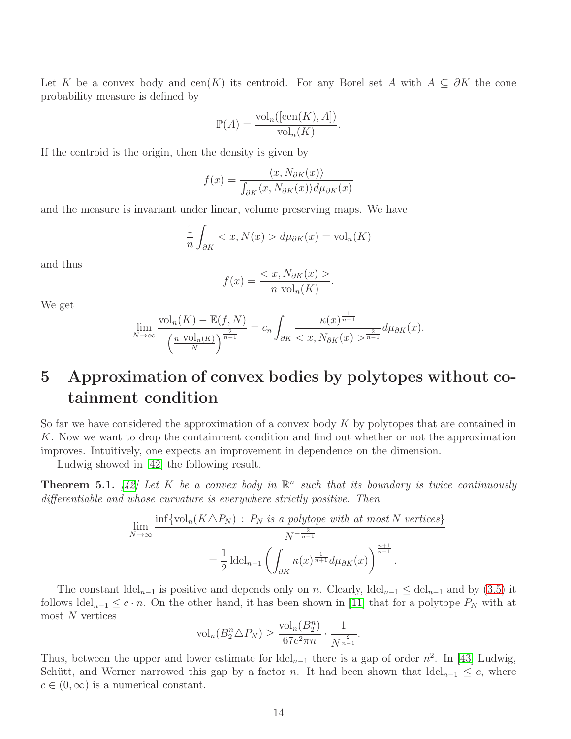Let K be a convex body and cen(K) its centroid. For any Borel set A with  $A \subseteq \partial K$  the cone probability measure is defined by

$$
\mathbb{P}(A) = \frac{\text{vol}_n([\text{cen}(K), A])}{\text{vol}_n(K)}.
$$

If the centroid is the origin, then the density is given by

$$
f(x) = \frac{\langle x, N_{\partial K}(x) \rangle}{\int_{\partial K} \langle x, N_{\partial K}(x) \rangle d\mu_{\partial K}(x)}
$$

and the measure is invariant under linear, volume preserving maps. We have

$$
\frac{1}{n} \int_{\partial K} < x, N(x) > d\mu_{\partial K}(x) = \text{vol}_n(K)
$$

and thus

$$
f(x) = \frac{< x, N_{\partial K}(x) >}{n \text{ vol}_n(K)}.
$$

We get

$$
\lim_{N \to \infty} \frac{\text{vol}_n(K) - \mathbb{E}(f, N)}{\left(\frac{n \text{ vol}_n(K)}{N}\right)^{\frac{2}{n-1}}} = c_n \int_{\partial K} \frac{\kappa(x)^{\frac{1}{n-1}}}{\langle x, N_{\partial K}(x) \rangle^{\frac{2}{n-1}}} d\mu_{\partial K}(x).
$$

## 5 Approximation of convex bodies by polytopes without cotainment condition

So far we have considered the approximation of a convex body  $K$  by polytopes that are contained in K. Now we want to drop the containment condition and find out whether or not the approximation improves. Intuitively, one expects an improvement in dependence on the dimension.

Ludwig showed in [\[42\]](#page-19-13) the following result.

**Theorem 5.1.** [\[42\]](#page-19-13) Let K be a convex body in  $\mathbb{R}^n$  such that its boundary is twice continuously differentiable and whose curvature is everywhere strictly positive. Then

$$
\lim_{N \to \infty} \frac{\inf \{ \text{vol}_n(K \triangle P_N) : P_N \text{ is a polytope with at most } N \text{ vertices} \}}{N^{-\frac{2}{n-1}}} = \frac{1}{2} \operatorname{del}_{n-1} \left( \int_{\partial K} \kappa(x)^{\frac{1}{n+1}} d\mu_{\partial K}(x) \right)^{\frac{n+1}{n-1}}.
$$

The constant  $\text{del}_{n-1}$  is positive and depends only on n. Clearly,  $\text{del}_{n-1} \leq \text{del}_{n-1}$  and by [\(3.5\)](#page-4-3) it follows  $\text{Idel}_{n-1} \leq c \cdot n$ . On the other hand, it has been shown in [\[11\]](#page-17-13) that for a polytope  $P_N$  with at most  $N$  vertices

$$
\text{vol}_n(B_2^n \triangle P_N) \ge \frac{\text{vol}_n(B_2^n)}{67e^2 \pi n} \cdot \frac{1}{N^{\frac{2}{n-1}}}.
$$

Thus, between the upper and lower estimate for  $\text{Idel}_{n-1}$  there is a gap of order  $n^2$ . In [\[43\]](#page-19-14) Ludwig, Schütt, and Werner narrowed this gap by a factor n. It had been shown that  $\text{del}_{n-1} \leq c$ , where  $c \in (0,\infty)$  is a numerical constant.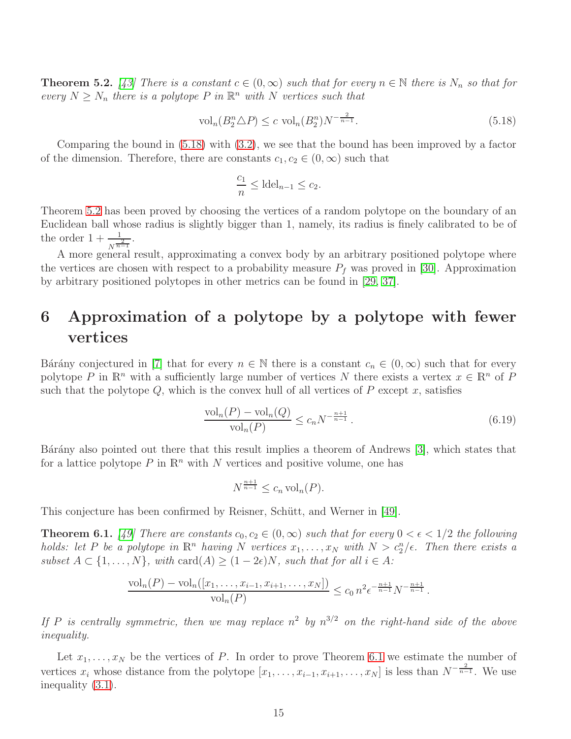<span id="page-14-1"></span>**Theorem 5.2.** [\[43\]](#page-19-14) There is a constant  $c \in (0, \infty)$  such that for every  $n \in \mathbb{N}$  there is  $N_n$  so that for every  $N \geq N_n$  there is a polytope P in  $\mathbb{R}^n$  with N vertices such that

<span id="page-14-0"></span>
$$
\text{vol}_n(B_2^n \triangle P) \le c \text{ vol}_n(B_2^n) N^{-\frac{2}{n-1}}.
$$
\n
$$
(5.18)
$$

Comparing the bound in [\(5.18\)](#page-14-0) with [\(3.2\)](#page-3-1), we see that the bound has been improved by a factor of the dimension. Therefore, there are constants  $c_1, c_2 \in (0, \infty)$  such that

$$
\frac{c_1}{n} \leq \text{ldel}_{n-1} \leq c_2.
$$

Theorem [5.2](#page-14-1) has been proved by choosing the vertices of a random polytope on the boundary of an Euclidean ball whose radius is slightly bigger than 1, namely, its radius is finely calibrated to be of the order  $1 + \frac{1}{N^{\frac{2}{n-1}}}.$ 

A more general result, approximating a convex body by an arbitrary positioned polytope where the vertices are chosen with respect to a probability measure  $P_f$  was proved in [\[30\]](#page-18-10). Approximation by arbitrary positioned polytopes in other metrics can be found in [\[29,](#page-18-11) [37\]](#page-18-12).

## 6 Approximation of a polytope by a polytope with fewer vertices

Bárány conjectured in [\[7\]](#page-17-14) that for every  $n \in \mathbb{N}$  there is a constant  $c_n \in (0, \infty)$  such that for every polytope P in  $\mathbb{R}^n$  with a sufficiently large number of vertices N there exists a vertex  $x \in \mathbb{R}^n$  of P such that the polytope  $Q$ , which is the convex hull of all vertices of  $P$  except  $x$ , satisfies

$$
\frac{\text{vol}_n(P) - \text{vol}_n(Q)}{\text{vol}_n(P)} \le c_n N^{-\frac{n+1}{n-1}}.
$$
\n(6.19)

Bárány also pointed out there that this result implies a theorem of Andrews [\[3\]](#page-16-3), which states that for a lattice polytope P in  $\mathbb{R}^n$  with N vertices and positive volume, one has

$$
N^{\frac{n+1}{n-1}} \le c_n \operatorname{vol}_n(P).
$$

This conjecture has been confirmed by Reisner, Schütt, and Werner in [\[49\]](#page-19-15).

<span id="page-14-2"></span>**Theorem 6.1.** [\[49\]](#page-19-15) There are constants  $c_0, c_2 \in (0, \infty)$  such that for every  $0 < \epsilon < 1/2$  the following holds: let P be a polytope in  $\mathbb{R}^n$  having N vertices  $x_1, \ldots, x_N$  with  $N > c_2^n/\epsilon$ . Then there exists a subset  $A \subset \{1, \ldots, N\}$ , with  $\text{card}(A) \geq (1 - 2\epsilon)N$ , such that for all  $i \in A$ :

$$
\frac{\text{vol}_n(P) - \text{vol}_n([x_1, \ldots, x_{i-1}, x_{i+1}, \ldots, x_N])}{\text{vol}_n(P)} \le c_0 n^2 e^{-\frac{n+1}{n-1}} N^{-\frac{n+1}{n-1}}.
$$

If P is centrally symmetric, then we may replace  $n^2$  by  $n^{3/2}$  on the right-hand side of the above inequality.

Let  $x_1, \ldots, x_N$  be the vertices of P. In order to prove Theorem [6.1](#page-14-2) we estimate the number of vertices  $x_i$  whose distance from the polytope  $[x_1, \ldots, x_{i-1}, x_{i+1}, \ldots, x_N]$  is less than  $N^{-\frac{2}{n-1}}$ . We use inequality [\(3.1\)](#page-3-0).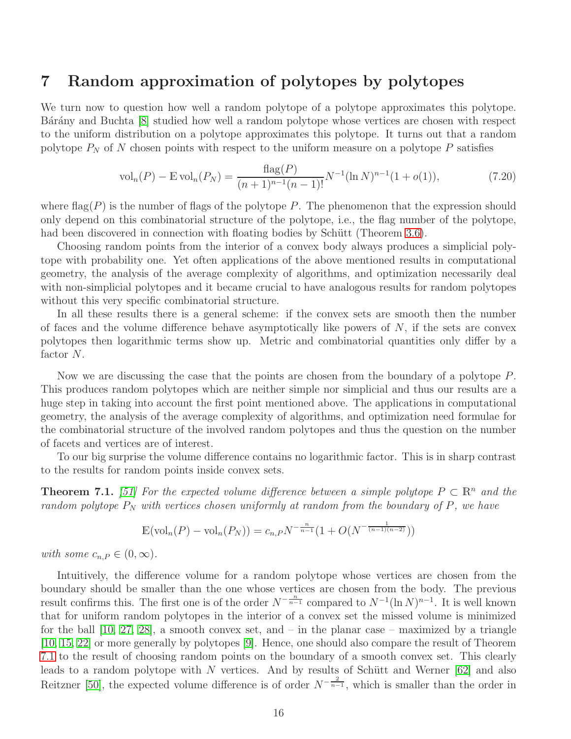#### 7 Random approximation of polytopes by polytopes

We turn now to question how well a random polytope of a polytope approximates this polytope. Bárány and Buchta [\[8\]](#page-17-15) studied how well a random polytope whose vertices are chosen with respect to the uniform distribution on a polytope approximates this polytope. It turns out that a random polytope  $P_N$  of N chosen points with respect to the uniform measure on a polytope P satisfies

<span id="page-15-1"></span>
$$
\text{vol}_n(P) - \mathbb{E}\,\text{vol}_n(P_N) = \frac{\text{flag}(P)}{(n+1)^{n-1}(n-1)!} N^{-1}(\ln N)^{n-1}(1+o(1)),\tag{7.20}
$$

where  $\text{flag}(P)$  is the number of flags of the polytope P. The phenomenon that the expression should only depend on this combinatorial structure of the polytope, i.e., the flag number of the polytope, had been discovered in connection with floating bodies by Schütt (Theorem [3.6\)](#page-8-0).

Choosing random points from the interior of a convex body always produces a simplicial polytope with probability one. Yet often applications of the above mentioned results in computational geometry, the analysis of the average complexity of algorithms, and optimization necessarily deal with non-simplicial polytopes and it became crucial to have analogous results for random polytopes without this very specific combinatorial structure.

In all these results there is a general scheme: if the convex sets are smooth then the number of faces and the volume difference behave asymptotically like powers of  $N$ , if the sets are convex polytopes then logarithmic terms show up. Metric and combinatorial quantities only differ by a factor N.

Now we are discussing the case that the points are chosen from the boundary of a polytope P. This produces random polytopes which are neither simple nor simplicial and thus our results are a huge step in taking into account the first point mentioned above. The applications in computational geometry, the analysis of the average complexity of algorithms, and optimization need formulae for the combinatorial structure of the involved random polytopes and thus the question on the number of facets and vertices are of interest.

To our big surprise the volume difference contains no logarithmic factor. This is in sharp contrast to the results for random points inside convex sets.

<span id="page-15-0"></span>**Theorem 7.1.** [\[51\]](#page-19-16) For the expected volume difference between a simple polytope  $P \subset \mathbb{R}^n$  and the random polytope  $P_N$  with vertices chosen uniformly at random from the boundary of P, we have

$$
\mathbb{E}(\text{vol}_n(P) - \text{vol}_n(P_N)) = c_{n,P} N^{-\frac{n}{n-1}} (1 + O(N^{-\frac{1}{(n-1)(n-2)}}))
$$

with some  $c_{n,P} \in (0,\infty)$ .

Intuitively, the difference volume for a random polytope whose vertices are chosen from the boundary should be smaller than the one whose vertices are chosen from the body. The previous result confirms this. The first one is of the order  $N^{-\frac{n}{n-1}}$  compared to  $N^{-1}(\ln N)^{n-1}$ . It is well known that for uniform random polytopes in the interior of a convex set the missed volume is minimized for the ball  $[10, 27, 28]$  $[10, 27, 28]$  $[10, 27, 28]$ , a smooth convex set, and – in the planar case – maximized by a triangle [\[10,](#page-17-12) [15,](#page-17-16) [22\]](#page-18-15) or more generally by polytopes [\[9\]](#page-17-10). Hence, one should also compare the result of Theorem [7.1](#page-15-0) to the result of choosing random points on the boundary of a smooth convex set. This clearly leads to a random polytope with  $N$  vertices. And by results of Schütt and Werner [\[62\]](#page-20-12) and also Reitzner [\[50\]](#page-19-12), the expected volume difference is of order  $N^{-\frac{2}{n-1}}$ , which is smaller than the order in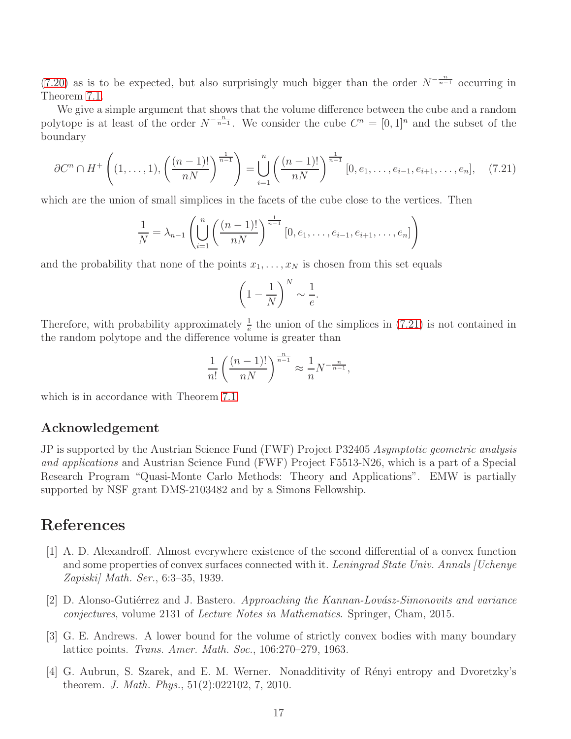[\(7.20\)](#page-15-1) as is to be expected, but also surprisingly much bigger than the order  $N^{-\frac{n}{n-1}}$  occurring in Theorem [7.1.](#page-15-0)

We give a simple argument that shows that the volume difference between the cube and a random polytope is at least of the order  $N^{-\frac{n}{n-1}}$ . We consider the cube  $C^n = [0,1]^n$  and the subset of the boundary

<span id="page-16-4"></span>
$$
\partial C^n \cap H^+\left((1,\ldots,1),\left(\frac{(n-1)!}{nN}\right)^{\frac{1}{n-1}}\right) = \bigcup_{i=1}^n \left(\frac{(n-1)!}{nN}\right)^{\frac{1}{n-1}} [0,e_1,\ldots,e_{i-1},e_{i+1},\ldots,e_n],\tag{7.21}
$$

which are the union of small simplices in the facets of the cube close to the vertices. Then

$$
\frac{1}{N} = \lambda_{n-1} \left( \bigcup_{i=1}^{n} \left( \frac{(n-1)!}{nN} \right)^{\frac{1}{n-1}} [0, e_1, \dots, e_{i-1}, e_{i+1}, \dots, e_n] \right)
$$

and the probability that none of the points  $x_1, \ldots, x_N$  is chosen from this set equals

$$
\left(1 - \frac{1}{N}\right)^N \sim \frac{1}{e}.
$$

Therefore, with probability approximately  $\frac{1}{e}$  the union of the simplices in [\(7.21\)](#page-16-4) is not contained in the random polytope and the difference volume is greater than

$$
\frac{1}{n!} \left( \frac{(n-1)!}{nN} \right)^{\frac{n}{n-1}} \approx \frac{1}{n} N^{-\frac{n}{n-1}},
$$

which is in accordance with Theorem [7.1.](#page-15-0)

#### Acknowledgement

JP is supported by the Austrian Science Fund (FWF) Project P32405 Asymptotic geometric analysis and applications and Austrian Science Fund (FWF) Project F5513-N26, which is a part of a Special Research Program "Quasi-Monte Carlo Methods: Theory and Applications". EMW is partially supported by NSF grant DMS-2103482 and by a Simons Fellowship.

### <span id="page-16-2"></span>References

- [1] A. D. Alexandroff. Almost everywhere existence of the second differential of a convex function and some properties of convex surfaces connected with it. Leningrad State Univ. Annals [Uchenye Zapiski] Math. Ser., 6:3–35, 1939.
- <span id="page-16-3"></span><span id="page-16-0"></span>[2] D. Alonso-Gutiérrez and J. Bastero. Approaching the Kannan-Lovász-Simonovits and variance conjectures, volume 2131 of Lecture Notes in Mathematics. Springer, Cham, 2015.
- [3] G. E. Andrews. A lower bound for the volume of strictly convex bodies with many boundary lattice points. Trans. Amer. Math. Soc., 106:270–279, 1963.
- <span id="page-16-1"></span>[4] G. Aubrun, S. Szarek, and E. M. Werner. Nonadditivity of R´enyi entropy and Dvoretzky's theorem. J. Math. Phys., 51(2):022102, 7, 2010.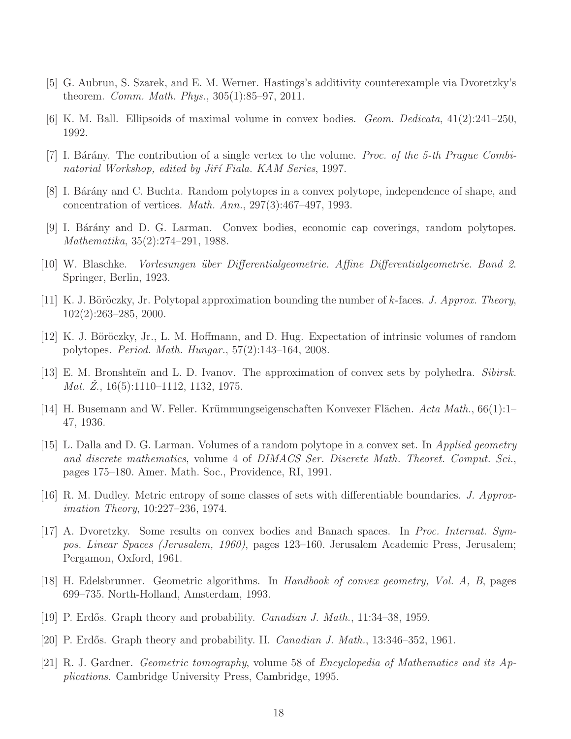- <span id="page-17-4"></span><span id="page-17-3"></span>[5] G. Aubrun, S. Szarek, and E. M. Werner. Hastings's additivity counterexample via Dvoretzky's theorem. Comm. Math. Phys., 305(1):85–97, 2011.
- <span id="page-17-14"></span>[6] K. M. Ball. Ellipsoids of maximal volume in convex bodies. Geom. Dedicata, 41(2):241–250, 1992.
- <span id="page-17-15"></span>[7] I. Bárány. The contribution of a single vertex to the volume. Proc. of the 5-th Prague Combinatorial Workshop, edited by Jiří Fiala. KAM Series, 1997.
- <span id="page-17-10"></span>[8] I. Bárány and C. Buchta. Random polytopes in a convex polytope, independence of shape, and concentration of vertices. Math. Ann., 297(3):467–497, 1993.
- <span id="page-17-12"></span>[9] I. B´ar´any and D. G. Larman. Convex bodies, economic cap coverings, random polytopes. Mathematika, 35(2):274–291, 1988.
- <span id="page-17-13"></span>[10] W. Blaschke. Vorlesungen ¨uber Differentialgeometrie. Affine Differentialgeometrie. Band 2. Springer, Berlin, 1923.
- <span id="page-17-11"></span>[11] K. J. Böröczky, Jr. Polytopal approximation bounding the number of k-faces. J. Approx. Theory, 102(2):263–285, 2000.
- [12] K. J. Böröczky, Jr., L. M. Hoffmann, and D. Hug. Expectation of intrinsic volumes of random polytopes. Period. Math. Hungar., 57(2):143–164, 2008.
- <span id="page-17-9"></span><span id="page-17-7"></span>[13] E. M. Bronshteĭn and L. D. Ivanov. The approximation of convex sets by polyhedra. Sibirsk. *Mat. Z.*,  $16(5):1110-1112$ ,  $1132$ ,  $1975$ .
- <span id="page-17-16"></span>[14] H. Busemann and W. Feller. Krümmungseigenschaften Konvexer Flächen. Acta Math.,  $66(1)$ :1– 47, 1936.
- [15] L. Dalla and D. G. Larman. Volumes of a random polytope in a convex set. In Applied geometry and discrete mathematics, volume 4 of DIMACS Ser. Discrete Math. Theoret. Comput. Sci., pages 175–180. Amer. Math. Soc., Providence, RI, 1991.
- <span id="page-17-8"></span><span id="page-17-2"></span>[16] R. M. Dudley. Metric entropy of some classes of sets with differentiable boundaries. J. Approximation Theory, 10:227–236, 1974.
- [17] A. Dvoretzky. Some results on convex bodies and Banach spaces. In Proc. Internat. Sympos. Linear Spaces (Jerusalem, 1960), pages 123–160. Jerusalem Academic Press, Jerusalem; Pergamon, Oxford, 1961.
- <span id="page-17-6"></span>[18] H. Edelsbrunner. Geometric algorithms. In Handbook of convex geometry, Vol. A, B, pages 699–735. North-Holland, Amsterdam, 1993.
- <span id="page-17-1"></span><span id="page-17-0"></span>[19] P. Erdős. Graph theory and probability. *Canadian J. Math.*, 11:34–38, 1959.
- <span id="page-17-5"></span>[20] P. Erdős. Graph theory and probability. II. *Canadian J. Math.*, 13:346–352, 1961.
- [21] R. J. Gardner. Geometric tomography, volume 58 of Encyclopedia of Mathematics and its Applications. Cambridge University Press, Cambridge, 1995.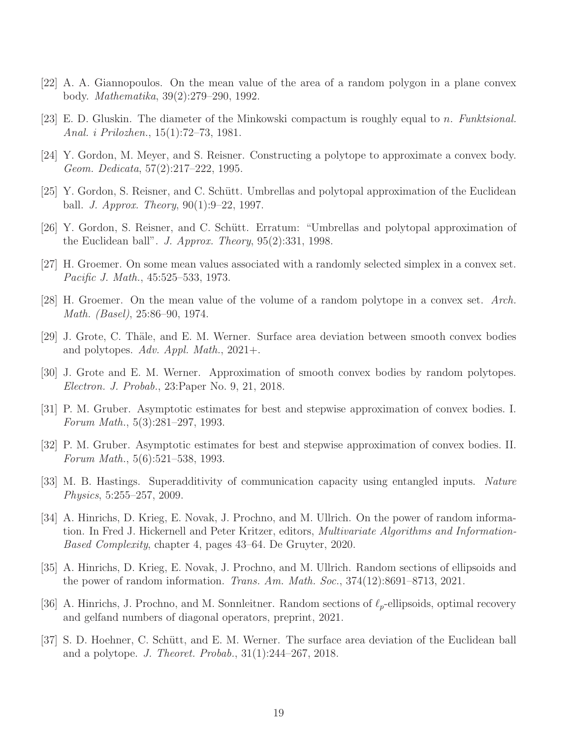- <span id="page-18-15"></span><span id="page-18-1"></span>[22] A. A. Giannopoulos. On the mean value of the area of a random polygon in a plane convex body. Mathematika, 39(2):279–290, 1992.
- <span id="page-18-5"></span>[23] E. D. Gluskin. The diameter of the Minkowski compactum is roughly equal to n. Funktsional. Anal. i Prilozhen., 15(1):72–73, 1981.
- <span id="page-18-6"></span>[24] Y. Gordon, M. Meyer, and S. Reisner. Constructing a polytope to approximate a convex body. Geom. Dedicata, 57(2):217–222, 1995.
- <span id="page-18-7"></span>[25] Y. Gordon, S. Reisner, and C. Schütt. Umbrellas and polytopal approximation of the Euclidean ball. *J. Approx. Theory*,  $90(1):9-22$ , 1997.
- <span id="page-18-13"></span>[26] Y. Gordon, S. Reisner, and C. Schütt. Erratum: "Umbrellas and polytopal approximation of the Euclidean ball". J. Approx. Theory,  $95(2):331$ , 1998.
- <span id="page-18-14"></span>[27] H. Groemer. On some mean values associated with a randomly selected simplex in a convex set. Pacific J. Math., 45:525–533, 1973.
- <span id="page-18-11"></span>[28] H. Groemer. On the mean value of the volume of a random polytope in a convex set. Arch. Math. (Basel), 25:86–90, 1974.
- <span id="page-18-10"></span>[29] J. Grote, C. Thäle, and E. M. Werner. Surface area deviation between smooth convex bodies and polytopes. Adv. Appl. Math., 2021+.
- <span id="page-18-8"></span>[30] J. Grote and E. M. Werner. Approximation of smooth convex bodies by random polytopes. Electron. J. Probab., 23:Paper No. 9, 21, 2018.
- <span id="page-18-9"></span>[31] P. M. Gruber. Asymptotic estimates for best and stepwise approximation of convex bodies. I. Forum Math., 5(3):281–297, 1993.
- [32] P. M. Gruber. Asymptotic estimates for best and stepwise approximation of convex bodies. II. Forum Math., 5(6):521–538, 1993.
- <span id="page-18-0"></span>[33] M. B. Hastings. Superadditivity of communication capacity using entangled inputs. Nature Physics, 5:255–257, 2009.
- <span id="page-18-4"></span>[34] A. Hinrichs, D. Krieg, E. Novak, J. Prochno, and M. Ullrich. On the power of random information. In Fred J. Hickernell and Peter Kritzer, editors, Multivariate Algorithms and Information-Based Complexity, chapter 4, pages 43–64. De Gruyter, 2020.
- <span id="page-18-2"></span>[35] A. Hinrichs, D. Krieg, E. Novak, J. Prochno, and M. Ullrich. Random sections of ellipsoids and the power of random information. Trans. Am. Math. Soc.,  $374(12):8691-8713$ ,  $2021$ .
- <span id="page-18-12"></span><span id="page-18-3"></span>[36] A. Hinrichs, J. Prochno, and M. Sonnleitner. Random sections of  $\ell_p$ -ellipsoids, optimal recovery and gelfand numbers of diagonal operators, preprint, 2021.
- [37] S. D. Hoehner, C. Schütt, and E. M. Werner. The surface area deviation of the Euclidean ball and a polytope. J. Theoret. Probab., 31(1):244–267, 2018.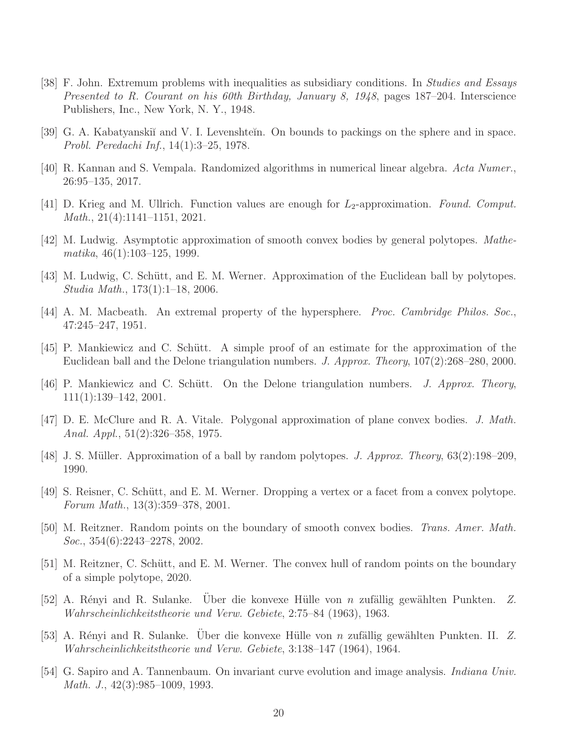- <span id="page-19-1"></span>[38] F. John. Extremum problems with inequalities as subsidiary conditions. In Studies and Essays Presented to R. Courant on his 60th Birthday, January 8, 1948, pages 187–204. Interscience Publishers, Inc., New York, N. Y., 1948.
- <span id="page-19-5"></span><span id="page-19-0"></span>[39] G. A. Kabatyanskiĭ and V. I. Levenshteĭn. On bounds to packings on the sphere and in space. Probl. Peredachi Inf., 14(1):3–25, 1978.
- <span id="page-19-2"></span>[40] R. Kannan and S. Vempala. Randomized algorithms in numerical linear algebra. Acta Numer., 26:95–135, 2017.
- <span id="page-19-13"></span>[41] D. Krieg and M. Ullrich. Function values are enough for  $L_2$ -approximation. Found. Comput. Math., 21(4):1141–1151, 2021.
- <span id="page-19-14"></span>[42] M. Ludwig. Asymptotic approximation of smooth convex bodies by general polytopes. Mathematika, 46(1):103–125, 1999.
- <span id="page-19-4"></span>[43] M. Ludwig, C. Schütt, and E. M. Werner. Approximation of the Euclidean ball by polytopes. Studia Math., 173(1):1–18, 2006.
- <span id="page-19-7"></span>[44] A. M. Macbeath. An extremal property of the hypersphere. Proc. Cambridge Philos. Soc., 47:245–247, 1951.
- [45] P. Mankiewicz and C. Schütt. A simple proof of an estimate for the approximation of the Euclidean ball and the Delone triangulation numbers. J. Approx. Theory, 107(2):268–280, 2000.
- <span id="page-19-8"></span><span id="page-19-6"></span>[46] P. Mankiewicz and C. Schütt. On the Delone triangulation numbers. J. Approx. Theory, 111(1):139–142, 2001.
- [47] D. E. McClure and R. A. Vitale. Polygonal approximation of plane convex bodies. J. Math. Anal. Appl., 51(2):326–358, 1975.
- <span id="page-19-15"></span><span id="page-19-9"></span>[48] J. S. Müller. Approximation of a ball by random polytopes. J. Approx. Theory,  $63(2):198-209$ , 1990.
- [49] S. Reisner, C. Schütt, and E. M. Werner. Dropping a vertex or a facet from a convex polytope. Forum Math., 13(3):359–378, 2001.
- <span id="page-19-12"></span>[50] M. Reitzner. Random points on the boundary of smooth convex bodies. Trans. Amer. Math. Soc., 354(6):2243–2278, 2002.
- <span id="page-19-16"></span>[51] M. Reitzner, C. Schütt, and E. M. Werner. The convex hull of random points on the boundary of a simple polytope, 2020.
- <span id="page-19-10"></span>[52] A. Rényi and R. Sulanke. Uber die konvexe Hülle von  $n$  zufällig gewählten Punkten. Z. Wahrscheinlichkeitstheorie und Verw. Gebiete, 2:75–84 (1963), 1963.
- <span id="page-19-11"></span>[53] A. Rényi and R. Sulanke. Uber die konvexe Hülle von n zufällig gewählten Punkten. II. Z. Wahrscheinlichkeitstheorie und Verw. Gebiete, 3:138–147 (1964), 1964.
- <span id="page-19-3"></span>[54] G. Sapiro and A. Tannenbaum. On invariant curve evolution and image analysis. Indiana Univ. Math. J., 42(3):985–1009, 1993.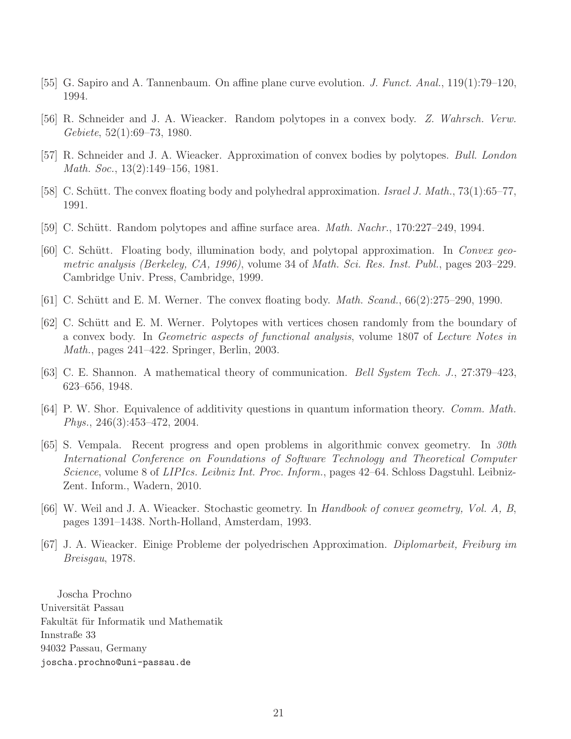- <span id="page-20-9"></span><span id="page-20-3"></span>[55] G. Sapiro and A. Tannenbaum. On affine plane curve evolution. J. Funct. Anal., 119(1):79–120, 1994.
- <span id="page-20-4"></span>[56] R. Schneider and J. A. Wieacker. Random polytopes in a convex body. Z. Wahrsch. Verw. Gebiete, 52(1):69–73, 1980.
- <span id="page-20-7"></span>[57] R. Schneider and J. A. Wieacker. Approximation of convex bodies by polytopes. Bull. London Math. Soc., 13(2):149–156, 1981.
- <span id="page-20-10"></span>[58] C. Schütt. The convex floating body and polyhedral approximation. Israel J. Math., 73(1):65–77, 1991.
- <span id="page-20-6"></span>[59] C. Schütt. Random polytopes and affine surface area. *Math. Nachr.*, 170:227-249, 1994.
- [60] C. Schütt. Floating body, illumination body, and polytopal approximation. In Convex geometric analysis (Berkeley, CA, 1996), volume 34 of Math. Sci. Res. Inst. Publ., pages 203–229. Cambridge Univ. Press, Cambridge, 1999.
- <span id="page-20-12"></span><span id="page-20-5"></span>[61] C. Schütt and E. M. Werner. The convex floating body. *Math. Scand.*,  $66(2):275-290, 1990$ .
- [62] C. Schütt and E. M. Werner. Polytopes with vertices chosen randomly from the boundary of a convex body. In Geometric aspects of functional analysis, volume 1807 of Lecture Notes in Math., pages 241–422. Springer, Berlin, 2003.
- <span id="page-20-2"></span><span id="page-20-1"></span>[63] C. E. Shannon. A mathematical theory of communication. Bell System Tech. J., 27:379–423, 623–656, 1948.
- <span id="page-20-0"></span>[64] P. W. Shor. Equivalence of additivity questions in quantum information theory. Comm. Math. Phys., 246(3):453–472, 2004.
- [65] S. Vempala. Recent progress and open problems in algorithmic convex geometry. In 30th International Conference on Foundations of Software Technology and Theoretical Computer Science, volume 8 of LIPIcs. Leibniz Int. Proc. Inform., pages 42–64. Schloss Dagstuhl. Leibniz-Zent. Inform., Wadern, 2010.
- <span id="page-20-11"></span><span id="page-20-8"></span>[66] W. Weil and J. A. Wieacker. Stochastic geometry. In Handbook of convex geometry, Vol. A, B, pages 1391–1438. North-Holland, Amsterdam, 1993.
- [67] J. A. Wieacker. Einige Probleme der polyedrischen Approximation. Diplomarbeit, Freiburg im Breisgau, 1978.

Joscha Prochno Universität Passau Fakultät für Informatik und Mathematik Innstraße 33 94032 Passau, Germany joscha.prochno@uni-passau.de